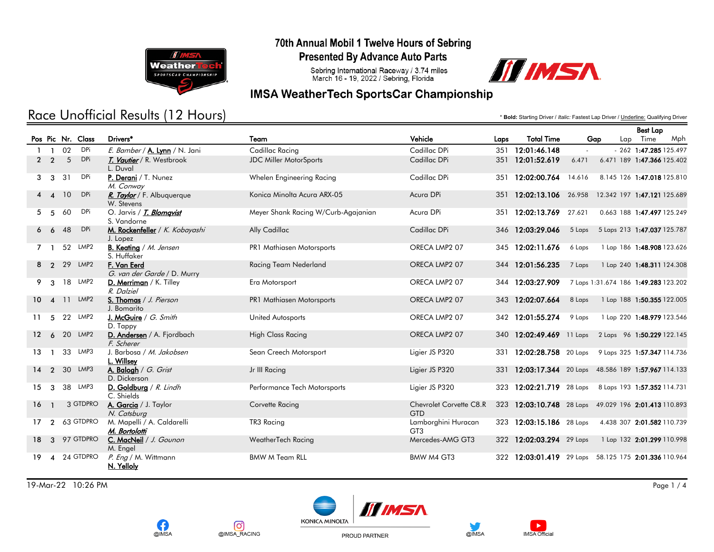

## Race Unofficial Results (12 Hours)

70th Annual Mobil 1 Twelve Hours of Sebring

**Presented By Advance Auto Parts** 

Sebring International Raceway / 3.74 miles<br>March 16 - 19, 2022 / Sebring, Florida



### **IMSA WeatherTech SportsCar Championship**

\* **Bold:** Starting Driver / *Italic:* Fastest Lap Driver / Underline: Qualifying Driver

Best Lap

|                   |                        |    |                   |                                                |                                     |                                       |      |                                                      |                                      |                             | pest Lap |                            |
|-------------------|------------------------|----|-------------------|------------------------------------------------|-------------------------------------|---------------------------------------|------|------------------------------------------------------|--------------------------------------|-----------------------------|----------|----------------------------|
|                   |                        |    | Pos Pic Nr. Class | Drivers*                                       | Team                                | Vehicle                               | Laps | <b>Total Time</b>                                    | Gap                                  |                             | Lap Time | Mph                        |
|                   | - 1                    | 02 | DPi               | E. Bamber / A. Lynn / N. Jani                  | Cadillac Racing                     | Cadillac DPi                          |      | 351 12:01:46.148                                     | $\sim$                               |                             |          | $-262$ 1:47.285 125.497    |
|                   | 2 <sub>2</sub>         | 5  | <b>DPi</b>        | T. Vautier / R. Westbrook<br>L. Duval          | <b>JDC Miller MotorSports</b>       | Cadillac DPi                          |      | 351 12:01:52.619                                     | 6.471                                | 6.471 189 1:47.366 125.402  |          |                            |
| 3                 | $\mathbf{3}$           | 31 | <b>DPi</b>        | P. Derani / T. Nunez<br>M. Conway              | Whelen Engineering Racing           | Cadillac DPi                          |      | 351 12:02:00.764                                     | 14.616                               | 8.145 126 1:47.018 125.810  |          |                            |
|                   | $4\quad 4$             | 10 | <b>DPi</b>        | R. Taylor / F. Albuquerque<br>W. Stevens       | Konica Minolta Acura ARX-05         | Acura DPi                             |      | 351 12:02:13.106 26.958                              |                                      | 12.342 197 1:47.121 125.689 |          |                            |
| 5                 | - 5                    | 60 | DPi               | O. Jarvis / <i>T. Blomqvist</i><br>S. Vandorne | Meyer Shank Racing W/Curb-Agajanian | Acura DPi                             |      | 351 12:02:13.769 27.621                              |                                      | 0.663 188 1:47.497 125.249  |          |                            |
| 6                 | 6                      | 48 | <b>DPi</b>        | M. Rockenfeller / K. Kobayashi<br>J. Lopez     | Ally Cadillac                       | Cadillac DPi                          |      | 346 12:03:29.046                                     | 5 Laps                               | 5 Laps 213 1:47.037 125.787 |          |                            |
|                   |                        | 52 | LMP2              | <b>B. Keating</b> / M. Jensen<br>S. Huffaker   | <b>PR1 Mathiasen Motorsports</b>    | ORECA LMP2 07                         |      | 345 12:02:11.676                                     | 6 Laps                               |                             |          | 1 Lap 186 1:48.908 123.626 |
| 8                 |                        |    | 2 29 LMP2         | F. Van Eerd<br>G. van der Garde / D. Murry     | Racing Team Nederland               | ORECA LMP2 07                         | 344  | 12:01:56.235                                         | 7 Laps                               |                             |          | 1 Lap 240 1:48.311 124.308 |
| 9                 | -3                     |    | 18 LMP2           | D. Merriman / K. Tilley<br>R. Dalziel          | Era Motorsport                      | ORECA LMP2 07                         |      | 344 12:03:27.909                                     | 7 Laps 1:31.674 186 1:49.283 123.202 |                             |          |                            |
| 10.               |                        |    | 4 11 LMP2         | S. Thomas / J. Pierson<br>J. Bomarito          | PR1 Mathiasen Motorsports           | ORECA LMP2 07                         |      | 343 12:02:07.664                                     | 8 Laps                               |                             |          | 1 Lap 188 1:50.355 122.005 |
|                   | 5                      |    | 22 LMP2           | J. McGuire / G. Smith<br>D. Tappy              | United Autosports                   | ORECA LMP2 07                         |      | 342 12:01:55.274                                     | 9 Laps                               |                             |          | 1 Lap 220 1:48.979 123.546 |
| $12 \overline{ }$ |                        |    | 6 20 LMP2         | D. Andersen / A. Fjordbach<br>F. Scherer       | <b>High Class Racing</b>            | ORECA LMP2 07                         |      | 340 12:02:49.469 11 Laps 2 Laps 96 1:50.229 122.145  |                                      |                             |          |                            |
| 13                |                        |    | 33 LMP3           | J. Barbosa / M. Jakobsen<br>L. Willsey         | Sean Creech Motorsport              | Ligier JS P320                        |      | 331 12:02:28.758 20 Laps 9 Laps 325 1:57.347 114.736 |                                      |                             |          |                            |
| 14                | $\overline{2}$         |    | 30 LMP3           | A. Balogh / G. Grist<br>D. Dickerson           | Jr III Racing                       | Ligier JS P320                        | 331  | 12:03:17.344 20 Laps 48.586 189 1:57.967 114.133     |                                      |                             |          |                            |
| 15                | 3                      |    | 38 LMP3           | D. Goldburg / R. Lindh<br>C. Shields           | Performance Tech Motorsports        | Ligier JS P320                        | 323  | $12:02:21.719$ 28 Laps                               |                                      | 8 Laps 193 1:57.352 114.731 |          |                            |
| 16                |                        |    | 3 GTDPRO          | A. Garcia / J. Taylor<br>N. Catsburg           | Corvette Racing                     | Chevrolet Corvette C8.R<br><b>GTD</b> | 323  | 12:03:10.748 28 Laps 49.029 196 2:01.413 110.893     |                                      |                             |          |                            |
| 17                | $\overline{2}$         |    | 63 GTDPRO         | M. Mapelli / A. Caldarelli<br>M. Bortolotti    | TR3 Racing                          | Lamborghini Huracan<br>GT3            |      | 323 12:03:15.186 28 Laps                             |                                      | 4.438 307 2:01.582 110.739  |          |                            |
| 18                | $\mathbf{3}$           |    | 97 GTDPRO         | C. MacNeil / J. Gounon<br>M. Engel             | WeatherTech Racing                  | Mercedes-AMG GT3                      |      | 322 12:02:03.294 29 Laps                             |                                      |                             |          | 1 Lap 132 2:01.299 110.998 |
| 19                | $\boldsymbol{\Lambda}$ |    | 24 GTDPRO         | P. Eng / M. Wittmann<br>N. Yelloly             | <b>BMW M Team RLL</b>               | BMW M4 GT3                            | 322  | 12:03:01.419 29 Laps 58.125 175 2:01.336 110.964     |                                      |                             |          |                            |

19-Mar-22 10:26 PM Page 1 / 4



**o** 

@IMSA\_RACING



PROUD PARTNER



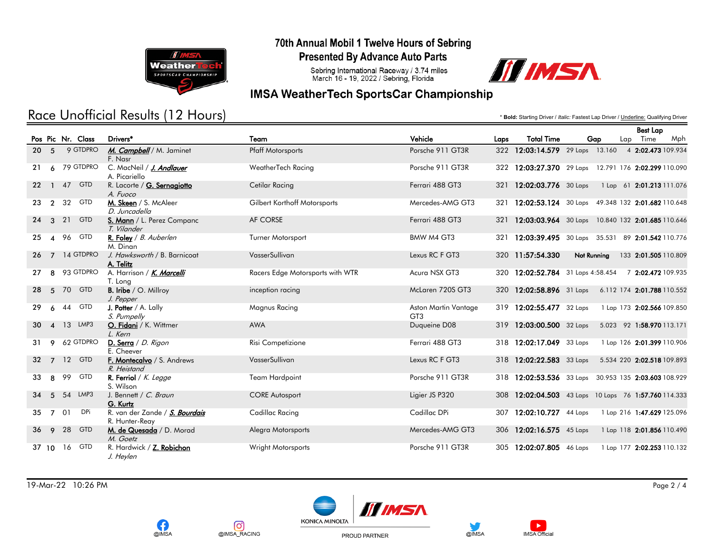

# Race Unofficial Results (12 Hours)

70th Annual Mobil 1 Twelve Hours of Sebring

**Presented By Advance Auto Parts** 

Sebring International Raceway / 3.74 miles<br>March 16 - 19, 2022 / Sebring, Florida



### **IMSA WeatherTech SportsCar Championship**

\* **Bold:** Starting Driver / *Italic:* Fastest Lap Driver / Underline: Qualifying Driver

|                 |                        |    |                   |                                                  |                                  |                                         |      |                                   |             |     | <b>Best Lap</b>                                      |
|-----------------|------------------------|----|-------------------|--------------------------------------------------|----------------------------------|-----------------------------------------|------|-----------------------------------|-------------|-----|------------------------------------------------------|
|                 |                        |    | Pos Pic Nr. Class | Drivers*                                         | Team                             | Vehicle                                 | Laps | <b>Total Time</b>                 |             | Gap | Lap Time<br>Mph                                      |
| 20              | $-5$                   |    | 9 GTDPRO          | M. Campbell / M. Jaminet<br>F. Nasr              | <b>Pfaff Motorsports</b>         | Porsche 911 GT3R                        |      | 322 12:03:14.579 29 Laps 13.160   |             |     | 4 2:02.473 109.934                                   |
| 21              | 6                      |    | 79 GTDPRO         | C. MacNeil / J. Andlauer<br>A. Picariello        | WeatherTech Racing               | Porsche 911 GT3R                        |      |                                   |             |     | 322 12:03:27.370 29 Laps 12.791 176 2:02.299 110.090 |
| $22 \,$         | $\mathbf{1}$           |    | 47 GTD            | R. Lacorte / G. Sernagiotto<br>A. Fuoco          | Cetilar Racing                   | Ferrari 488 GT3                         | 321  | 12:02:03.776 30 Laps              |             |     | 1 Lap 61 2:01.213 111.076                            |
| 23              | $\overline{2}$         | 32 | <b>GTD</b>        | M. Skeen / S. McAleer<br>D. Juncadella           | Gilbert Korthoff Motorsports     | Mercedes-AMG GT3                        | 321  |                                   |             |     | 12:02:53.124 30 Laps 49.348 132 2:01.682 110.648     |
| 24              | $\mathbf{3}$           | 21 | <b>GTD</b>        | S. Mann / L. Perez Companc<br>T. Vilander        | AF CORSE                         | Ferrari 488 GT3                         | 321  |                                   |             |     | 12:03:03.964 30 Laps 10.840 132 2:01.685 110.646     |
| 25              | $\boldsymbol{\Lambda}$ | 96 | <b>GTD</b>        | R. Foley / B. Auberlen<br>M. Dinan               | <b>Turner Motorsport</b>         | BMW M4 GT3                              | 321  | 12:03:39.495 30 Laps 35.531       |             |     | 89 2:01.542 110.776                                  |
| 26              | $\overline{7}$         |    | 14 GTDPRO         | J. Hawksworth / B. Barnicoat<br>A. Telitz        | VasserSullivan                   | Lexus RC F GT3                          |      | 320 11:57:54.330                  | Not Running |     | 133 2:01.505 110.809                                 |
| 27              | 8                      |    | 93 GTDPRO         | A. Harrison / K. Marcelli<br>T. Long             | Racers Edge Motorsports with WTR | Acura NSX GT3                           |      | 320 12:02:52.784 31 Laps 4:58.454 |             |     | 7 2:02.472 109.935                                   |
| 28              | 5 <sup>5</sup>         | 70 | <b>GTD</b>        | <b>B.</b> Iribe / O. Millroy<br>J. Pepper        | inception racing                 | McLaren 720S GT3                        |      | 320 12:02:58.896 31 Laps          |             |     | 6.112 174 2:01.788 110.552                           |
| 29              | 6                      | 44 | <b>GTD</b>        | <b>J. Potter</b> / A. Lally<br>S. Pumpelly       | Magnus Racing                    | Aston Martin Vantage<br>GT <sub>3</sub> |      | 319 12:02:55.477 32 Laps          |             |     | 1 Lap 173 2:02.566 109.850                           |
| 30              | $\boldsymbol{\Lambda}$ |    | 13 LMP3           | O. Fidani / K. Wittmer<br>L. Kern                | <b>AWA</b>                       | Duqueine D08                            | 319  | 12:03:00.500 32 Laps              |             |     | 5.023 92 1:58.970 113.171                            |
| 31              | 9                      |    | 62 GTDPRO         | D. Serra / D. Rigon<br>E. Cheever                | Risi Competizione                | Ferrari 488 GT3                         |      | 318 12:02:17.049 33 Laps          |             |     | 1 Lap 126 2:01.399 110.906                           |
| 32 <sup>2</sup> | $\overline{7}$         |    | 12 GTD            | F. Montecalvo / S. Andrews<br>R. Heistand        | VasserSullivan                   | Lexus RC F GT3                          | 318  | $12:02:22.583$ 33 Laps            |             |     | 5.534 220 2:02.518 109.893                           |
| 33              | 8                      | 99 | <b>GTD</b>        | R. Ferriol / $K.$ Legge<br>S. Wilson             | Team Hardpoint                   | Porsche 911 GT3R                        |      |                                   |             |     | 318 12:02:53.536 33 Laps 30.953 135 2:03.603 108.929 |
| 34              | 5                      | 54 | LMP3              | J. Bennett / C. Braun<br>G. Kurtz                | <b>CORE Autosport</b>            | Ligier JS P320                          | 308  |                                   |             |     | 12:02:04.503 43 Laps 10 Laps 76 1:57.760 114.333     |
| 35              | $\overline{7}$         | 01 | <b>DPi</b>        | R. van der Zande / S. Bourdais<br>R. Hunter-Reay | Cadillac Racing                  | Cadillac DPi                            | 307  | 12:02:10.727 44 Laps              |             |     | 1 Lap 216 1:47.629 125.096                           |
| 36              | 9                      | 28 | <b>GTD</b>        | M. de Quesada / D. Morad<br>M. Goetz             | Alegra Motorsports               | Mercedes-AMG GT3                        | 306  | 12:02:16.575 45 Laps              |             |     | 1 Lap 118 2:01.856 110.490                           |
| 37, 10          |                        | 16 | <b>GTD</b>        | R. Hardwick / Z. Robichon<br>J. Heylen           | Wright Motorsports               | Porsche 911 GT3R                        | 305  | $12:02:07.805$ 46 Laps            |             |     | 1 Lap 177 2:02.253 110.132                           |









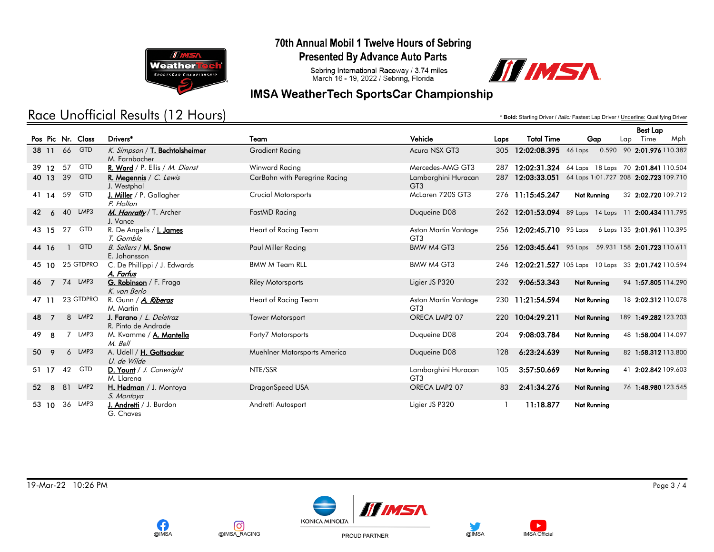

# Race Unofficial Results (12 Hours)

70th Annual Mobil 1 Twelve Hours of Sebring

**Presented By Advance Auto Parts** 

Sebring International Raceway / 3.74 miles<br>March 16 - 19, 2022 / Sebring, Florida



### **IMSA WeatherTech SportsCar Championship**

\* **Bold:** Starting Driver / *Italic:* Fastest Lap Driver / Underline: Qualifying Driver

Best Lap

|       |                |    |                   |                                                 |                               |                                         |      |                          |                                                   |     | <b>Best Lap</b>             |
|-------|----------------|----|-------------------|-------------------------------------------------|-------------------------------|-----------------------------------------|------|--------------------------|---------------------------------------------------|-----|-----------------------------|
|       |                |    | Pos Pic Nr. Class | Drivers*                                        | Team                          | Vehicle                                 | Laps | <b>Total Time</b>        | Gap                                               | Lap | Time<br>Mph                 |
|       |                |    | 38 11 66 GTD      | K. Simpson / T. Bechtolsheimer<br>M. Farnbacher | <b>Gradient Racing</b>        | Acura NSX GT3                           | 305  | 12:02:08.395             | 46 Laps                                           |     | 0.590 90 2:01.976 110.382   |
| 39 12 |                | 57 | <b>GTD</b>        | R. Ward / P. Ellis / M. Dienst                  | Winward Racing                | Mercedes-AMG GT3                        | 287  |                          | 12:02:31.324 64 Laps 18 Laps 70 2:01.841 110.504  |     |                             |
| 40 13 |                | 39 | <b>GTD</b>        | R. Megennis / $C.$ Lewis<br>J. Westphal         | CarBahn with Peregrine Racing | Lamborghini Huracan<br>GT <sub>3</sub>  | 287  | 12:03:33.051             | 64 Laps 1:01.727 208 2:02.723 109.710             |     |                             |
| 41 14 |                | 59 | <b>GTD</b>        | <b>J. Miller</b> / P. Gallagher<br>P. Holton    | <b>Crucial Motorsports</b>    | McLaren 720S GT3                        |      | 276 11:15:45.247         | Not Running                                       |     | 32 2:02.720 109.712         |
| 42    | 6              |    | 40 LMP3           | M. Hanratty / T. Archer<br>J. Vance             | FastMD Racing                 | Duqueine D08                            | 262  |                          | 12:01:53.094 89 Laps 14 Laps 11 2:00.434 111.795  |     |                             |
| 43 15 |                | 27 | <b>GTD</b>        | R. De Angelis / <b>I. James</b><br>T. Gamble    | Heart of Racing Team          | Aston Martin Vantage<br>GT <sub>3</sub> |      | 256 12:02:45.710 95 Laps |                                                   |     | 6 Laps 135 2:01.961 110.395 |
| 44 16 |                |    | <b>GTD</b>        | B. Sellers / M. Snow<br>E. Johansson            | Paul Miller Racing            | <b>BMW M4 GT3</b>                       | 256  |                          | 12:03:45.641 95 Laps 59.931 158 2:01.723 110.611  |     |                             |
| 45 10 |                |    | 25 GTDPRO         | C. De Phillippi / J. Edwards<br>A. Farfus       | <b>BMW M Team RLL</b>         | BMW M4 GT3                              | 246  |                          | 12:02:21.527 105 Laps 10 Laps 33 2:01.742 110.594 |     |                             |
| 46    | $\overline{7}$ |    | 74 LMP3           | G. Robinson / F. Fraga<br>K. van Berlo          | <b>Riley Motorsports</b>      | Ligier JS P320                          | 232  | 9:06:53.343              | <b>Not Running</b>                                |     | 94 1:57.805 114.290         |
| 47 11 |                |    | 23 GTDPRO         | R. Gunn / A. Riberas<br>M. Martin               | Heart of Racing Team          | Aston Martin Vantage<br>GT <sub>3</sub> |      | 230 11:21:54.594         | Not Running                                       |     | 18 2:02.312 110.078         |
| 48    | $\overline{7}$ |    | 8 LMP2            | J. Farano / L. Deletraz<br>R. Pinto de Andrade  | <b>Tower Motorsport</b>       | ORECA LMP2 07                           | 220  | 10:04:29.211             | Not Running                                       |     | 189 1:49.282 123.203        |
| 49    | 8              |    | 7 LMP3            | M. Kvamme / A. Mantella<br>M. Bell              | Forty7 Motorsports            | Duqueine D08                            | 204  | 9:08:03.784              | Not Running                                       |     | 48 1:58.004 114.097         |
| 50    | 9              | 6  | LMP3              | A. Udell / H. Gottsacker<br>U. de Wilde         | Muehlner Motorsports America  | Duqueine D08                            | 128  | 6:23:24.639              | Not Running                                       |     | 82 1:58.312 113.800         |
| 51 17 |                | 42 | <b>GTD</b>        | D. Yount / J. Conwright<br>M. Llarena           | NTE/SSR                       | Lamborghini Huracan<br>GT <sub>3</sub>  | 105  | 3:57:50.669              | Not Running                                       |     | 41 2:02.842 109.603         |
| 52    | 8              | 81 | LMP <sub>2</sub>  | H. Hedman / J. Montoya<br>S. Montoya            | DragonSpeed USA               | ORECA LMP2 07                           | 83   | 2:41:34.276              | Not Running                                       |     | 76 1:48.980 123.545         |
| 53 10 |                | 36 | LMP3              | J. Andretti / J. Burdon<br>G. Chaves            | Andretti Autosport            | Ligier JS P320                          |      | 11:18.877                | Not Running                                       |     |                             |